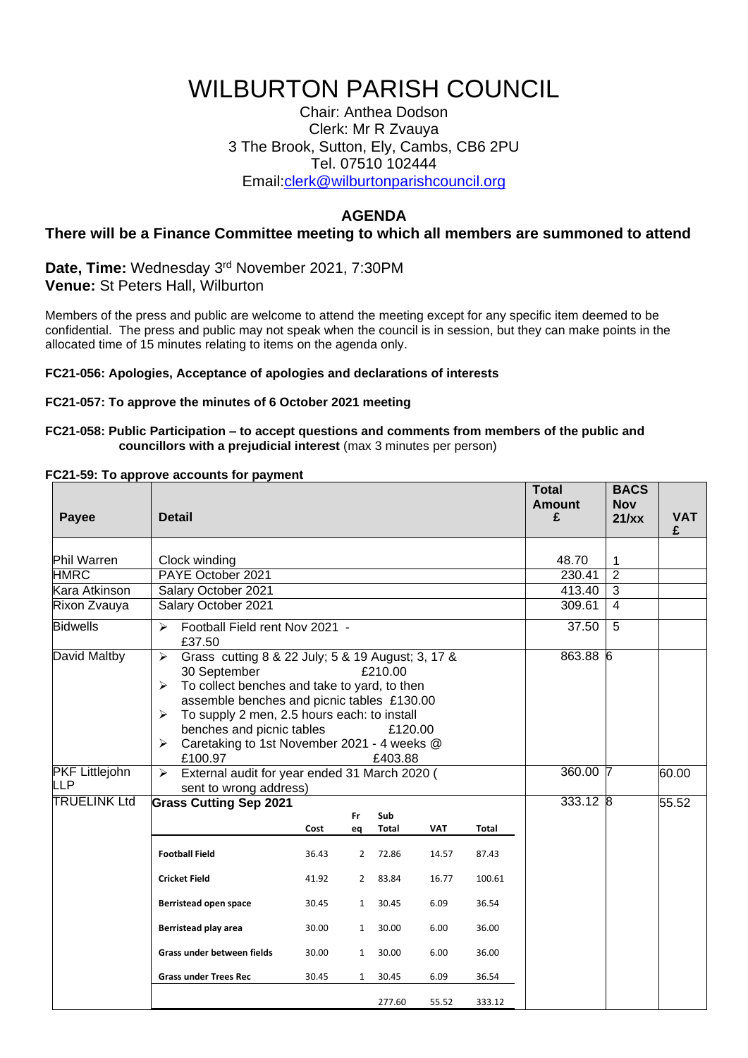# WILBURTON PARISH COUNCIL

Chair: Anthea Dodson Clerk: Mr R Zvauya 3 The Brook, Sutton, Ely, Cambs, CB6 2PU Tel. 07510 102444 Email[:clerk@wilburtonparishcouncil.org](mailto:clerk@wilburtonparishcouncil.org)

## **AGENDA**

## **There will be a Finance Committee meeting to which all members are summoned to attend**

**Date, Time:** Wednesday 3 rd November 2021, 7:30PM **Venue:** St Peters Hall, Wilburton

Members of the press and public are welcome to attend the meeting except for any specific item deemed to be confidential. The press and public may not speak when the council is in session, but they can make points in the allocated time of 15 minutes relating to items on the agenda only.

#### **FC21-056: Apologies, Acceptance of apologies and declarations of interests**

#### **FC21-057: To approve the minutes of 6 October 2021 meeting**

#### **FC21-058: Public Participation – to accept questions and comments from members of the public and councillors with a prejudicial interest** (max 3 minutes per person)

#### **FC21-59: To approve accounts for payment**

| Payee                        | <b>Detail</b>                                                                                                                                                                                                                                                                                                                                                                  |       |                |        |            |        | <b>Total</b><br><b>Amount</b><br>£ | <b>BACS</b><br><b>Nov</b><br>21/xx | <b>VAT</b><br>£ |
|------------------------------|--------------------------------------------------------------------------------------------------------------------------------------------------------------------------------------------------------------------------------------------------------------------------------------------------------------------------------------------------------------------------------|-------|----------------|--------|------------|--------|------------------------------------|------------------------------------|-----------------|
| <b>Phil Warren</b>           | Clock winding                                                                                                                                                                                                                                                                                                                                                                  |       |                |        |            |        | 48.70                              | 1                                  |                 |
| <b>HMRC</b>                  | PAYE October 2021                                                                                                                                                                                                                                                                                                                                                              |       |                |        |            |        | 230.41                             | $\overline{2}$                     |                 |
| Kara Atkinson                | Salary October 2021                                                                                                                                                                                                                                                                                                                                                            |       |                |        |            |        | 413.40                             | 3                                  |                 |
| Rixon Zvauya                 | Salary October 2021                                                                                                                                                                                                                                                                                                                                                            |       |                |        |            |        | 309.61                             | $\overline{4}$                     |                 |
| <b>Bidwells</b>              | Football Field rent Nov 2021 -<br>$\blacktriangleright$<br>£37.50                                                                                                                                                                                                                                                                                                              |       |                |        |            |        | 37.50                              | 5                                  |                 |
| David Maltby                 | ➤<br>Grass cutting 8 & 22 July; 5 & 19 August; 3, 17 &<br>30 September<br>£210.00<br>To collect benches and take to yard, to then<br>⋗<br>assemble benches and picnic tables £130.00<br>To supply 2 men, 2.5 hours each: to install<br>➤<br>benches and picnic tables<br>£120.00<br>Caretaking to 1st November 2021 - 4 weeks @<br>$\blacktriangleright$<br>£100.97<br>£403.88 |       |                |        |            |        | 863.88 6                           |                                    |                 |
| <b>PKF Littlejohn</b><br>LLP | External audit for year ended 31 March 2020 (<br>↘<br>sent to wrong address)                                                                                                                                                                                                                                                                                                   |       |                |        |            |        | 360.00 7                           |                                    | 60.00           |
| <b>TRUELINK Ltd</b>          | <b>Grass Cutting Sep 2021</b><br>Sub<br>Fr                                                                                                                                                                                                                                                                                                                                     |       |                |        |            |        | $333.12$ 8                         |                                    | 55.52           |
|                              |                                                                                                                                                                                                                                                                                                                                                                                | Cost  | eq             | Total  | <b>VAT</b> | Total  |                                    |                                    |                 |
|                              | <b>Football Field</b>                                                                                                                                                                                                                                                                                                                                                          | 36.43 | 2              | 72.86  | 14.57      | 87.43  |                                    |                                    |                 |
|                              | <b>Cricket Field</b>                                                                                                                                                                                                                                                                                                                                                           | 41.92 | $\overline{2}$ | 83.84  | 16.77      | 100.61 |                                    |                                    |                 |
|                              | Berristead open space                                                                                                                                                                                                                                                                                                                                                          | 30.45 | $\mathbf{1}$   | 30.45  | 6.09       | 36.54  |                                    |                                    |                 |
|                              | Berristead play area                                                                                                                                                                                                                                                                                                                                                           | 30.00 | $\mathbf{1}$   | 30.00  | 6.00       | 36.00  |                                    |                                    |                 |
|                              | Grass under between fields                                                                                                                                                                                                                                                                                                                                                     | 30.00 | $\mathbf{1}$   | 30.00  | 6.00       | 36.00  |                                    |                                    |                 |
|                              | <b>Grass under Trees Rec</b>                                                                                                                                                                                                                                                                                                                                                   | 30.45 | $\mathbf{1}$   | 30.45  | 6.09       | 36.54  |                                    |                                    |                 |
|                              |                                                                                                                                                                                                                                                                                                                                                                                |       |                | 277.60 | 55.52      | 333.12 |                                    |                                    |                 |